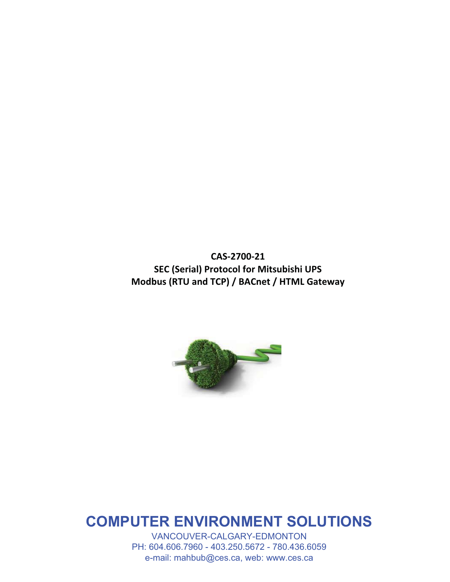CAS-2700-21 **SEC (Serial) Protocol for Mitsubishi UPS Modbus (RTU and TCP) / BACnet / HTML Gateway** 



# **COMPUTER ENVIRONMENT SOLUTIONS TEL:** (866) 384-4024, **Fax:** (866) 916-4160 915-4160 915-4160 915-4024

**EMINUOUVEN-UALUANT-EDIMUNTUR**<br>DH 004,000,7000 100,050,5070 700,400,0050 VANCOUVER-CALGARY-EDMONTON PH: 604.606.7960 - 403.250.5672 - 780.436.6059 e-mail: mahbub@ces.ca, web: www.ces.ca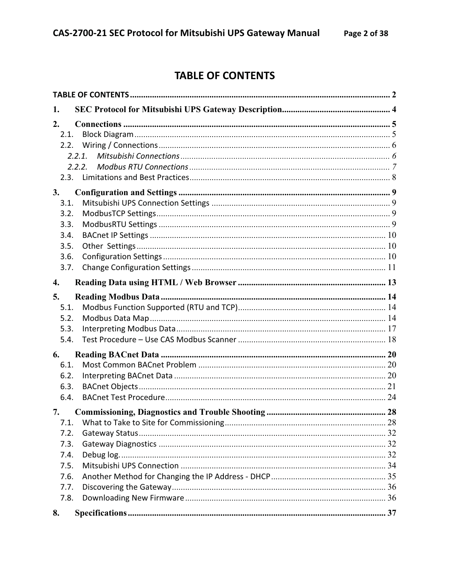# **TABLE OF CONTENTS**

| 1.                                                                                                   |  |
|------------------------------------------------------------------------------------------------------|--|
| 2.<br>2.1.<br>2.2.<br>2.2.1.<br>2.2.2.<br>2.3.<br>3.<br>3.1.<br>3.2.<br>3.3.<br>3.4.<br>3.5.<br>3.6. |  |
| 3.7.                                                                                                 |  |
| 4.                                                                                                   |  |
| 5.<br>5.1.<br>5.2.<br>5.3.<br>5.4.                                                                   |  |
| 6.                                                                                                   |  |
| 6.1.<br>6.2.<br>6.3.<br>6.4.                                                                         |  |
| 7.                                                                                                   |  |
| 7.1.<br>7.2.<br>7.3.<br>7.4.<br>7.5.<br>7.6.<br>7.7.<br>7.8.                                         |  |
| 8.                                                                                                   |  |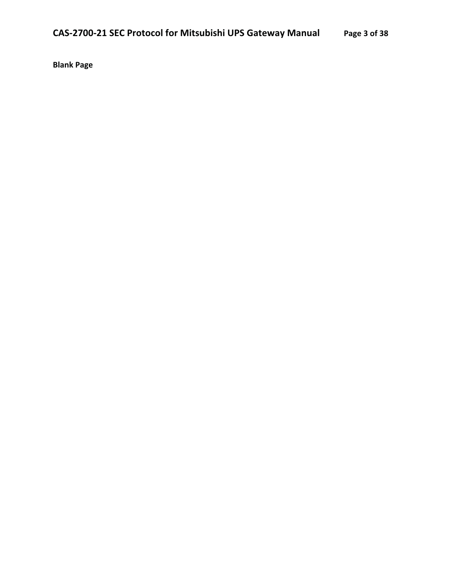**Blank-Page**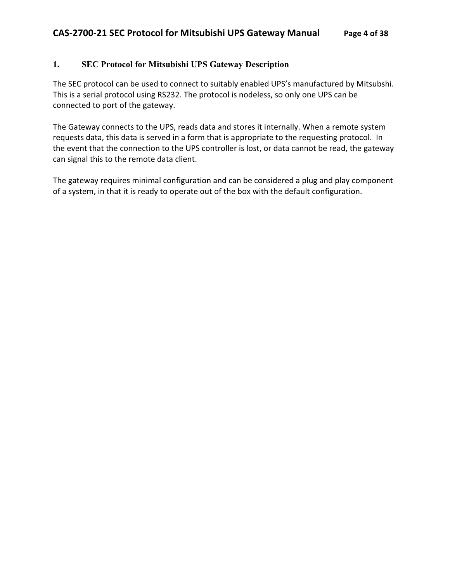## **1. SEC Protocol for Mitsubishi UPS Gateway Description**

The SEC protocol can be used to connect to suitably enabled UPS's manufactured by Mitsubshi. This is a serial protocol using RS232. The protocol is nodeless, so only one UPS can be connected to port of the gateway.

The Gateway connects to the UPS, reads data and stores it internally. When a remote system requests data, this data is served in a form that is appropriate to the requesting protocol. In the event that the connection to the UPS controller is lost, or data cannot be read, the gateway can signal this to the remote data client.

The gateway requires minimal configuration and can be considered a plug and play component of a system, in that it is ready to operate out of the box with the default configuration.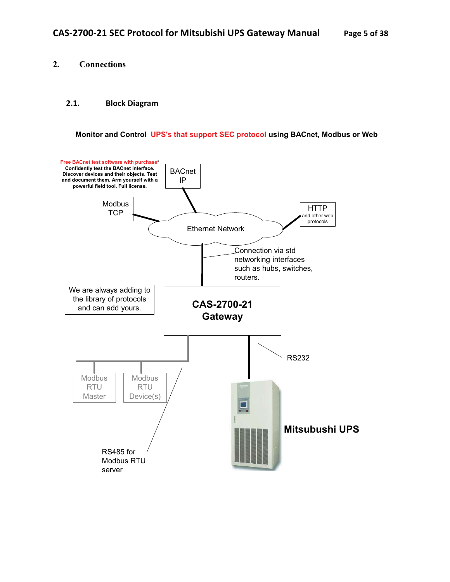#### **2. Connections**

#### **2.1. Block-Diagram-**

**Monitor and Control UPS's that support SEC protocol using BACnet, Modbus or Web**

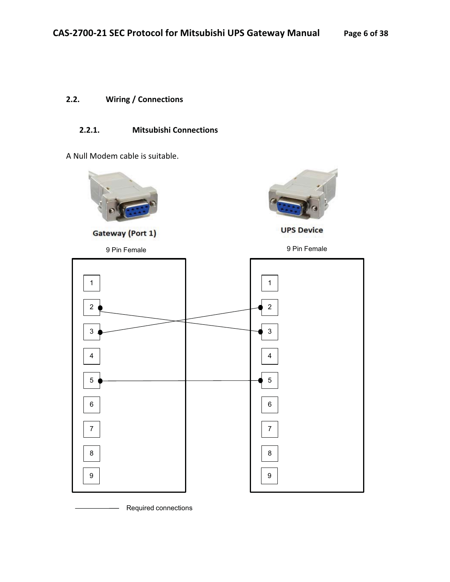#### **2.2.** Wiring / Connections

#### **2.2.1.** Mitsubishi Connections

A Null Modem cable is suitable.



Gateway (Port 1)

9 Pin Female



**UPS Device** 

9 Pin Female



Required connections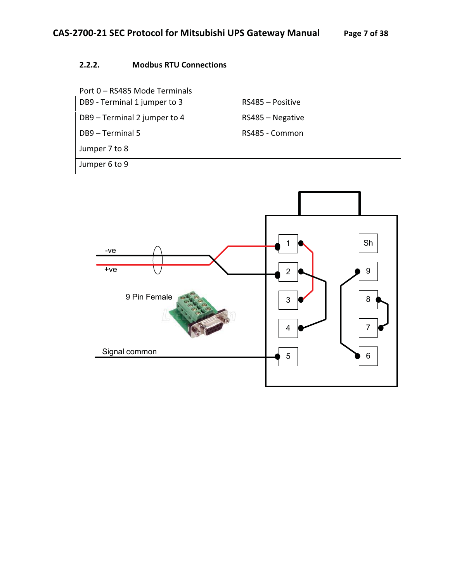### **2.2.2.** Modbus RTU Connections

|  | Port 0 - RS485 Mode Terminals |
|--|-------------------------------|
|  |                               |

| DB9 - Terminal 1 jumper to 3 | RS485 - Positive   |
|------------------------------|--------------------|
| DB9 - Terminal 2 jumper to 4 | $RS485 - Negative$ |
| DB9 – Terminal 5             | RS485 - Common     |
| Jumper 7 to 8                |                    |
| Jumper 6 to 9                |                    |

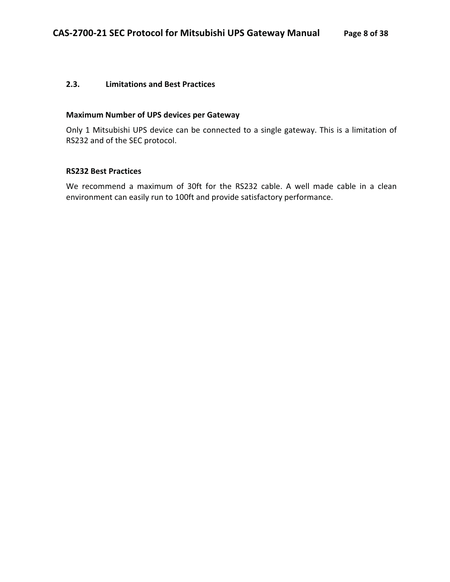#### **2.3.** Limitations and Best Practices

#### **Maximum Number of UPS devices per Gateway**

Only 1 Mitsubishi UPS device can be connected to a single gateway. This is a limitation of RS232 and of the SEC protocol.

#### **RS232-Best-Practices-**

We recommend a maximum of 30ft for the RS232 cable. A well made cable in a clean environment can easily run to 100ft and provide satisfactory performance.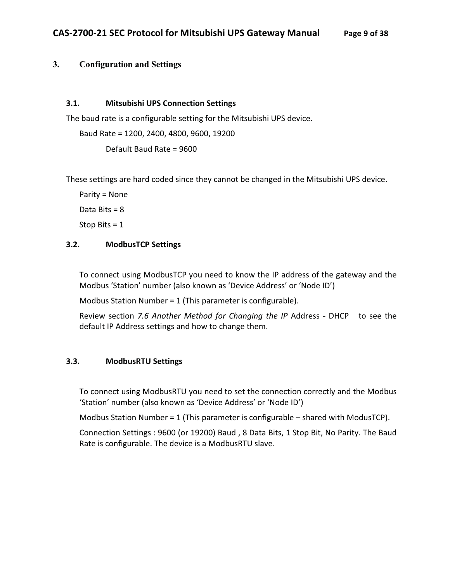### **3. Configuration and Settings**

#### **3.1.** Mitsubishi UPS Connection Settings

The baud rate is a configurable setting for the Mitsubishi UPS device.

Baud Rate = 1200, 2400, 4800, 9600, 19200

Default Baud Rate = 9600

These settings are hard coded since they cannot be changed in the Mitsubishi UPS device.

Parity = None Data Bits = 8 Stop Bits  $= 1$ 

### **3.2.** ModbusTCP Settings

To connect using ModbusTCP you need to know the IP address of the gateway and the Modbus 'Station' number (also known as 'Device Address' or 'Node ID')

Modbus Station Number = 1 (This parameter is configurable).

Review section 7.6 Another Method for Changing the IP Address - DHCP to see the default IP Address settings and how to change them.

#### **3.3.** ModbusRTU Settings

To connect using ModbusRTU you need to set the connection correctly and the Modbus 'Station' number (also known as 'Device Address' or 'Node ID')

Modbus Station Number = 1 (This parameter is configurable – shared with ModusTCP).

Connection Settings: 9600 (or 19200) Baud, 8 Data Bits, 1 Stop Bit, No Parity. The Baud Rate is configurable. The device is a ModbusRTU slave.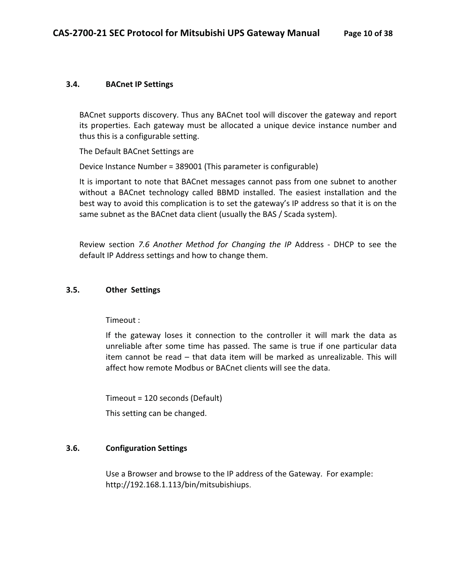### **3.4.** BACnet IP Settings

BACnet supports discovery. Thus any BACnet tool will discover the gateway and report its properties. Each gateway must be allocated a unique device instance number and thus this is a configurable setting.

The Default BACnet Settings are

Device Instance Number = 389001 (This parameter is configurable)

It is important to note that BACnet messages cannot pass from one subnet to another without a BACnet technology called BBMD installed. The easiest installation and the best way to avoid this complication is to set the gateway's IP address so that it is on the same subnet as the BACnet data client (usually the BAS / Scada system).

Review section 7.6 Another Method for Changing the IP Address - DHCP to see the default IP Address settings and how to change them.

### 3.5. Other Settings

Timeout:

If the gateway loses it connection to the controller it will mark the data as unreliable after some time has passed. The same is true if one particular data item cannot be read - that data item will be marked as unrealizable. This will affect how remote Modbus or BACnet clients will see the data.

Timeout = 120 seconds (Default)

This setting can be changed.

## **3.6.** Configuration Settings

Use a Browser and browse to the IP address of the Gateway. For example: http://192.168.1.113/bin/mitsubishiups.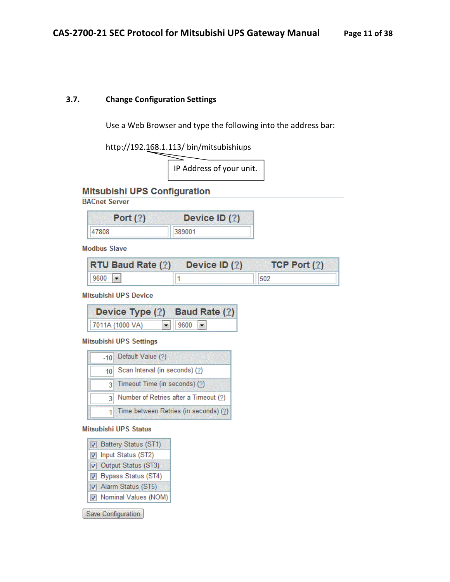#### **3.7.** Change Configuration Settings

Use a Web Browser and type the following into the address bar:

http://192.168.1.113/ bin/mitsubishiups

IP Address of your unit.

# **Mitsubishi UPS Configuration**

**BACnet Server** 

| Port ( | Device $ID(?)$ |
|--------|----------------|
| 47808  | 389001         |

**Modbus Slave** 

| <b>RTU Baud Rate (?)</b> | Device $ID(?)$ | $TCP$ Port $(?)$ |
|--------------------------|----------------|------------------|
| $9600 -$                 |                | 502              |

**Mitsubishi UPS Device** 

| Device Type (?) Baud Rate (?) |                          |  |
|-------------------------------|--------------------------|--|
| 7011A (1000 VA)               | $\bullet$ 9600 $\bullet$ |  |

**Mitsubishi UPS Settings** 

| $-10$           | Default Value (?)                     |
|-----------------|---------------------------------------|
| 10 <sup>1</sup> | Scan Interval (in seconds) (?)        |
|                 | 3 Timeout Time (in seconds) (?)       |
|                 | Number of Retries after a Timeout (?) |
|                 | Time between Retries (in seconds) (?) |

#### Mitsubishi UPS Status

|                         | 7 Battery Status (ST1)     |
|-------------------------|----------------------------|
| $\overline{\mathbf{v}}$ | Input Status (ST2)         |
|                         | V Output Status (ST3)      |
| $\overline{\mathbf{v}}$ | <b>Bypass Status (ST4)</b> |
|                         | 7 Alarm Status (ST5)       |
|                         | Nominal Values (NOM)       |

Save Configuration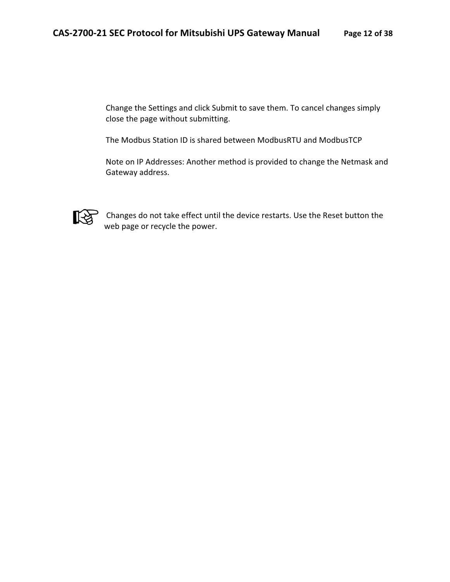Change the Settings and click Submit to save them. To cancel changes simply close the page without submitting.

The Modbus Station ID is shared between ModbusRTU and ModbusTCP

Note on IP Addresses: Another method is provided to change the Netmask and Gateway address.



Changes do not take effect until the device restarts. Use the Reset button the web page or recycle the power.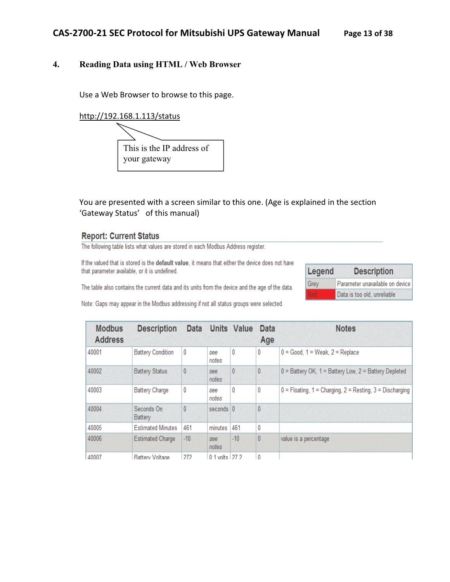# **4. Reading Data using HTML / Web Browser**

Use a Web Browser to browse to this page.

http://192.168.1.113/status



# You are presented with a screen similar to this one. (Age is explained in the section 'Gateway Status' of this manual)

# **Report: Current Status**

The following table lists what values are stored in each Modbus Address register.

If the valued that is stored is the default value, it means that either the device does not have that parameter available, or it is undefined.

The table also contains the current data and its units from the device and the age of the data.

| Legend     | <b>Description</b>              |
|------------|---------------------------------|
| Grev       | Parameter unavailable on device |
| <b>Red</b> | Data is too old, unreliable     |

Note: Gaps may appear in the Modbus addressing if not all status groups were selected.

| <b>Modbus</b><br><b>Address</b> | <b>Description</b>       | Data         |                    | <b>Units Value</b> | Data<br>Age  | <b>Notes</b>                                               |
|---------------------------------|--------------------------|--------------|--------------------|--------------------|--------------|------------------------------------------------------------|
| 40001                           | <b>Battery Condition</b> | 0            | see<br>notes       | 0                  | 0            | $0 = Good$ , 1 = Weak, 2 = Replace                         |
| 40002                           | <b>Battery Status</b>    | $\mathbf{0}$ | see<br>notes       | 0                  | $\mathbf{0}$ | $0 =$ Battery OK, 1 = Battery Low, 2 = Battery Depleted    |
| 40003                           | Battery Charge           | 0            | see<br>notes       | 0                  | 0            | $0$ = Floating, 1 = Charging, 2 = Resting, 3 = Discharging |
| 40004                           | Seconds On<br>Battery    | $\theta$     | $seconds \sqrt{0}$ |                    | $\mathbf{0}$ |                                                            |
| 40005                           | <b>Estimated Minutes</b> | 461          | minutes            | 461                | 0            |                                                            |
| 40006                           | <b>Estimated Charge</b>  | $-10$        | see<br>notes       | $-10$              | $\mathbf{0}$ | value is a percentage                                      |
| 40007                           | <b>Battery Voltage</b>   | 272          | 0.1 volts 27.2     |                    | 0            |                                                            |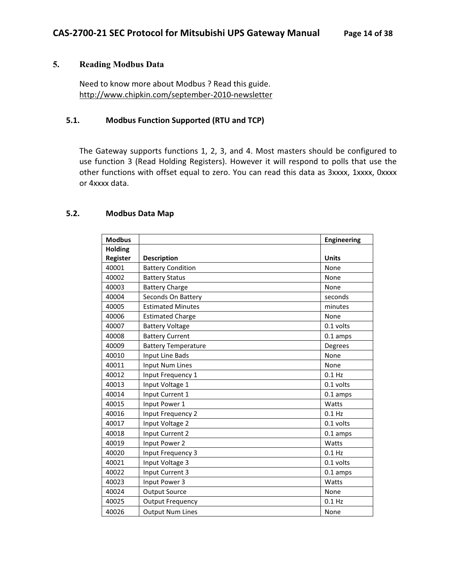#### **5. Reading Modbus Data**

Need to know more about Modbus ? Read this guide. http://www.chipkin.com/september-2010-newsletter

#### **5.1.** Modbus Function Supported (RTU and TCP)

The Gateway supports functions 1, 2, 3, and 4. Most masters should be configured to use function 3 (Read Holding Registers). However it will respond to polls that use the other functions with offset equal to zero. You can read this data as 3xxxx, 1xxxx, 0xxxx or 4xxxx data.

#### 5.2. Modbus Data Map

| <b>Modbus</b>  |                            | <b>Engineering</b> |
|----------------|----------------------------|--------------------|
| <b>Holding</b> |                            |                    |
| Register       | <b>Description</b>         | <b>Units</b>       |
| 40001          | <b>Battery Condition</b>   | None               |
| 40002          | <b>Battery Status</b>      | None               |
| 40003          | <b>Battery Charge</b>      | None               |
| 40004          | Seconds On Battery         | seconds            |
| 40005          | <b>Estimated Minutes</b>   | minutes            |
| 40006          | <b>Estimated Charge</b>    | None               |
| 40007          | <b>Battery Voltage</b>     | 0.1 volts          |
| 40008          | <b>Battery Current</b>     | $0.1$ amps         |
| 40009          | <b>Battery Temperature</b> | Degrees            |
| 40010          | Input Line Bads            | None               |
| 40011          | <b>Input Num Lines</b>     | <b>None</b>        |
| 40012          | Input Frequency 1          | $0.1$ Hz           |
| 40013          | Input Voltage 1            | 0.1 volts          |
| 40014          | Input Current 1            | $0.1$ amps         |
| 40015          | Input Power 1              | Watts              |
| 40016          | Input Frequency 2          | $0.1$ Hz           |
| 40017          | Input Voltage 2            | 0.1 volts          |
| 40018          | Input Current 2            | $0.1$ amps         |
| 40019          | Input Power 2              | Watts              |
| 40020          | Input Frequency 3          | $0.1$ Hz           |
| 40021          | Input Voltage 3            | 0.1 volts          |
| 40022          | Input Current 3            | $0.1$ amps         |
| 40023          | Input Power 3              | Watts              |
| 40024          | <b>Output Source</b>       | None               |
| 40025          | <b>Output Frequency</b>    | $0.1$ Hz           |
| 40026          | <b>Output Num Lines</b>    | None               |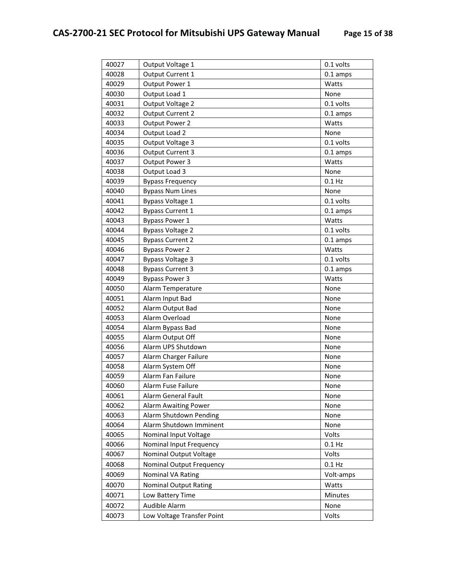| 40027 | Output Voltage 1                | 0.1 volts  |
|-------|---------------------------------|------------|
| 40028 | Output Current 1                | $0.1$ amps |
| 40029 | Output Power 1                  | Watts      |
| 40030 | Output Load 1                   | None       |
| 40031 | Output Voltage 2                | 0.1 volts  |
| 40032 | Output Current 2                | $0.1$ amps |
| 40033 | Output Power 2                  | Watts      |
| 40034 | Output Load 2                   | None       |
| 40035 | Output Voltage 3                | 0.1 volts  |
| 40036 | Output Current 3                | $0.1$ amps |
| 40037 | Output Power 3                  | Watts      |
| 40038 | Output Load 3                   | None       |
| 40039 | <b>Bypass Frequency</b>         | $0.1$ Hz   |
| 40040 | <b>Bypass Num Lines</b>         | None       |
| 40041 | <b>Bypass Voltage 1</b>         | 0.1 volts  |
| 40042 | <b>Bypass Current 1</b>         | $0.1$ amps |
| 40043 | <b>Bypass Power 1</b>           | Watts      |
| 40044 | <b>Bypass Voltage 2</b>         | 0.1 volts  |
| 40045 | <b>Bypass Current 2</b>         | $0.1$ amps |
| 40046 | <b>Bypass Power 2</b>           | Watts      |
| 40047 | <b>Bypass Voltage 3</b>         | 0.1 volts  |
| 40048 | <b>Bypass Current 3</b>         | $0.1$ amps |
| 40049 | <b>Bypass Power 3</b>           | Watts      |
| 40050 | Alarm Temperature               | None       |
| 40051 | Alarm Input Bad                 | None       |
| 40052 | Alarm Output Bad                | None       |
| 40053 | Alarm Overload                  | None       |
| 40054 | Alarm Bypass Bad                | None       |
| 40055 | Alarm Output Off                | None       |
| 40056 | Alarm UPS Shutdown              | None       |
| 40057 | Alarm Charger Failure           | None       |
| 40058 | Alarm System Off                | None       |
| 40059 | Alarm Fan Failure               | None       |
| 40060 | Alarm Fuse Failure              | None       |
| 40061 | Alarm General Fault             | None       |
| 40062 | <b>Alarm Awaiting Power</b>     | None       |
| 40063 | Alarm Shutdown Pending          | None       |
| 40064 | Alarm Shutdown Imminent         | None       |
| 40065 | Nominal Input Voltage           | Volts      |
| 40066 | Nominal Input Frequency         | $0.1$ Hz   |
| 40067 | <b>Nominal Output Voltage</b>   | Volts      |
| 40068 | <b>Nominal Output Frequency</b> | $0.1$ Hz   |
| 40069 | <b>Nominal VA Rating</b>        | Volt-amps  |
| 40070 | <b>Nominal Output Rating</b>    | Watts      |
| 40071 | Low Battery Time                | Minutes    |
| 40072 | Audible Alarm                   | None       |
| 40073 | Low Voltage Transfer Point      | Volts      |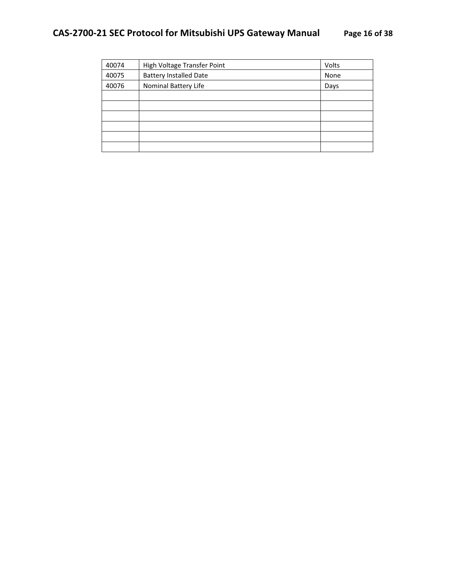| 40074 | High Voltage Transfer Point   | Volts |  |  |
|-------|-------------------------------|-------|--|--|
| 40075 | <b>Battery Installed Date</b> | None  |  |  |
| 40076 | Nominal Battery Life          | Days  |  |  |
|       |                               |       |  |  |
|       |                               |       |  |  |
|       |                               |       |  |  |
|       |                               |       |  |  |
|       |                               |       |  |  |
|       |                               |       |  |  |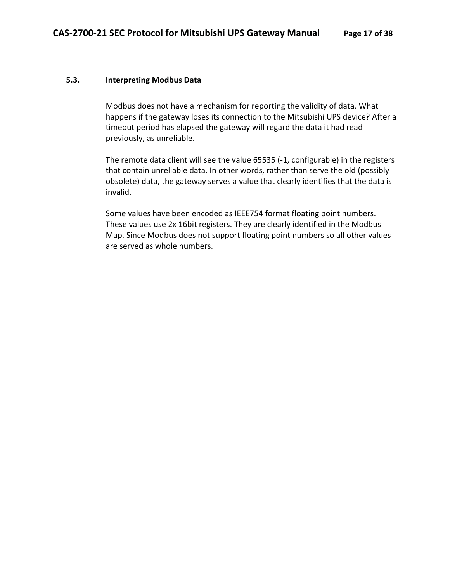#### **5.3.** Interpreting Modbus Data

Modbus does not have a mechanism for reporting the validity of data. What happens if the gateway loses its connection to the Mitsubishi UPS device? After a timeout period has elapsed the gateway will regard the data it had read previously, as unreliable.

The remote data client will see the value 65535 (-1, configurable) in the registers that contain unreliable data. In other words, rather than serve the old (possibly obsolete) data, the gateway serves a value that clearly identifies that the data is invalid.

Some values have been encoded as IEEE754 format floating point numbers. These values use 2x 16bit registers. They are clearly identified in the Modbus Map. Since Modbus does not support floating point numbers so all other values are served as whole numbers.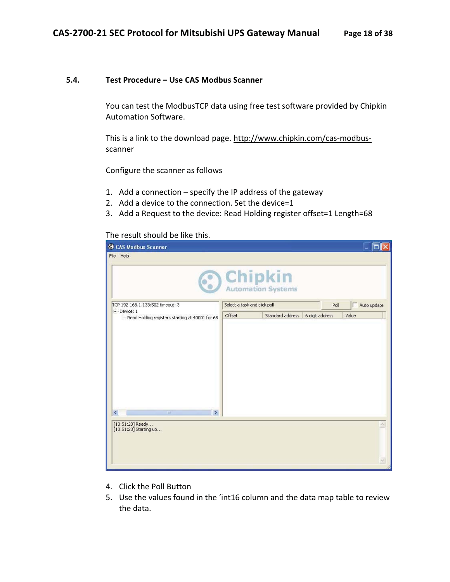#### 5.4. Test Procedure - Use CAS Modbus Scanner

You can test the ModbusTCP data using free test software provided by Chipkin Automation Software.

This is a link to the download page. http://www.chipkin.com/cas-modbusscanner

Configure the scanner as follows

- 1. Add a connection specify the IP address of the gateway
- 2. Add a device to the connection. Set the device=1
- 3. Add a Request to the device: Read Holding register offset=1 Length=68

The result should be like this.

| <b>8 CAS Modbus Scanner</b>                                  |                              |                                     |      |             |
|--------------------------------------------------------------|------------------------------|-------------------------------------|------|-------------|
| File Help                                                    |                              |                                     |      |             |
|                                                              |                              | <b>Chipkin</b>                      |      |             |
| TCP 192.168.1.133:502 timeout: 3                             | Select a task and click poll |                                     | Poll | Auto update |
| Device: 1<br>Read Holding registers starting at 40001 for 68 | Offset                       | Standard address<br>6 digit address |      | Value       |
| $\rightarrow$<br>$\blacktriangleleft$<br>$\mathbf{m}$        |                              |                                     |      |             |
| [13:51:23] Ready<br>[13:51:23] Starting up                   |                              |                                     |      | ċ,          |

- 4. Click the Poll Button
- 5. Use the values found in the 'int16 column and the data map table to review the data.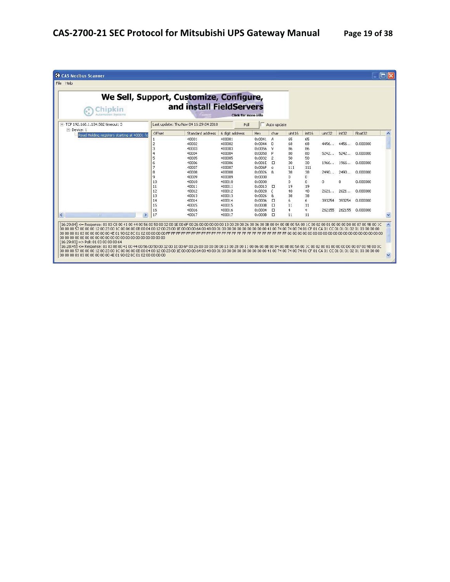| <b>8 CAS Modbus Scanner</b>                                                                                                                                                                                                                                                                                                                                                                                                                                                                                                                                                                                                                                                                                                                                                                                                                                                                                      |                          |                                       |                            |                                     |                                         |                      |                                 |                |                |                      |  |
|------------------------------------------------------------------------------------------------------------------------------------------------------------------------------------------------------------------------------------------------------------------------------------------------------------------------------------------------------------------------------------------------------------------------------------------------------------------------------------------------------------------------------------------------------------------------------------------------------------------------------------------------------------------------------------------------------------------------------------------------------------------------------------------------------------------------------------------------------------------------------------------------------------------|--------------------------|---------------------------------------|----------------------------|-------------------------------------|-----------------------------------------|----------------------|---------------------------------|----------------|----------------|----------------------|--|
| File Help                                                                                                                                                                                                                                                                                                                                                                                                                                                                                                                                                                                                                                                                                                                                                                                                                                                                                                        |                          |                                       |                            |                                     |                                         |                      |                                 |                |                |                      |  |
|                                                                                                                                                                                                                                                                                                                                                                                                                                                                                                                                                                                                                                                                                                                                                                                                                                                                                                                  |                          |                                       |                            |                                     |                                         |                      |                                 |                |                |                      |  |
| We Sell, Support, Customize, Configure,<br>Chipkin<br>Automation Systems                                                                                                                                                                                                                                                                                                                                                                                                                                                                                                                                                                                                                                                                                                                                                                                                                                         |                          | and install FieldServers              | <b>Click for more info</b> |                                     |                                         |                      |                                 |                |                |                      |  |
| F-TCP 192.168.1.104:502 timeout: 3                                                                                                                                                                                                                                                                                                                                                                                                                                                                                                                                                                                                                                                                                                                                                                                                                                                                               |                          | Last update: Thu Nov 04 16:29:04 2010 | Poll                       |                                     | Auto update                             |                      |                                 |                |                |                      |  |
| $\Box$ Device: 1<br>Read Holding registers starting at 40001 fo                                                                                                                                                                                                                                                                                                                                                                                                                                                                                                                                                                                                                                                                                                                                                                                                                                                  | Offset                   | Standard address                      | 6 digit address            | Hex                                 | char                                    | uint16               | int16                           | uint32         | int32          | float32              |  |
|                                                                                                                                                                                                                                                                                                                                                                                                                                                                                                                                                                                                                                                                                                                                                                                                                                                                                                                  | $\overline{c}$<br>3      | 40001<br>40002<br>40003               | 400001<br>400002<br>400003 | 0x0041<br>0x0044<br>0x0056          | А<br>Ð<br>v                             | 65<br>68<br>86       | 65<br>68<br>86                  | 4456           |                | 4456 0.000000        |  |
|                                                                                                                                                                                                                                                                                                                                                                                                                                                                                                                                                                                                                                                                                                                                                                                                                                                                                                                  | 4<br>5                   | 40004<br>40005                        | 400004<br>400005           | 0x0050<br>0x0032                    | P<br>$\overline{2}$                     | 80<br>50<br>30       | 80<br>50<br>30                  | 5242           | 5242           | 0.000000             |  |
|                                                                                                                                                                                                                                                                                                                                                                                                                                                                                                                                                                                                                                                                                                                                                                                                                                                                                                                  | 6<br>$\overline{7}$<br>8 | 40006<br>40007<br>40008               | 400006<br>400007<br>400008 | 0x001F<br>0x006F<br>0x0026          | $\Box$<br>$\Omega$<br>$\mathcal{R}_{k}$ | 111<br>38            | 111<br>38                       | 1966<br>2490   | 1966<br>2490   | 0.000000<br>0.000000 |  |
|                                                                                                                                                                                                                                                                                                                                                                                                                                                                                                                                                                                                                                                                                                                                                                                                                                                                                                                  | 9<br>10<br>11            | 40009<br>40010<br>40011               | 400009<br>400010<br>400011 | 0x0000<br>0x0000<br>0x0013          | п                                       | O<br>0<br>19         | $\mathbf{0}$<br>$\Omega$<br>19  | $\Omega$       | $\Omega$       | 0.000000             |  |
|                                                                                                                                                                                                                                                                                                                                                                                                                                                                                                                                                                                                                                                                                                                                                                                                                                                                                                                  | 12<br>13<br>14           | 40012<br>40013<br>40014               | 400012<br>400013<br>400014 | $0 \times 0028$<br>0x0026<br>0x0006 | 8<br>$\Box$                             | 40<br>38<br>6        | 40<br>38<br>$\ddot{\mathbf{6}}$ | 2621<br>393254 | 2621<br>393254 | 0.000000<br>0.000000 |  |
|                                                                                                                                                                                                                                                                                                                                                                                                                                                                                                                                                                                                                                                                                                                                                                                                                                                                                                                  | 15<br>16                 | 40015<br>40016                        | 400015<br>400016           | 0x000B<br>0x0004                    | $\Box$<br>$\Box$                        | 11<br>$\overline{4}$ | 11<br>$\overline{4}$            | 262155         | 262155         | 0.000000             |  |
| $\geq$<br>∢<br><b>IIII</b>                                                                                                                                                                                                                                                                                                                                                                                                                                                                                                                                                                                                                                                                                                                                                                                                                                                                                       | 17                       | 40017                                 | 400017                     | $0 \times 000B$                     | $\Box$                                  | 11                   | 11                              |                |                |                      |  |
| [16:29:04] <= Response: 01 03 C8 00 41 00 44 00 56 00 50 00 32 00 1E 00 6F 00 26 00 00 00 00 00 13 00 26 00 06 00 06 00 08 00 04 00 0B 00 5A 00 1C 00 02 00 01 00 00 00 00 00 00 00 9F 00 1C<br>00 00 00 57 00 00 00 12 00 23 00 1C 00 06 00 08 00 04 00 12 00 23 00 1E 00 00 00 64 00 48 00 01 00 00 00 00 00 00 00 00 00 00 11 00 74 00 74 00 74 01 CF 01 CA 01 CC 01 01 02 01 03 00 00 00 00<br>$[16:29:03]$ = > Poll: 01 03 00 00 00 64<br>[16:28:45] <= Response: 01 03 88 00 41 00 44 00 56 00 50 00 32 00 1E 00 6F 00 26 00 00 00 00 00 13 00 28 00 11 00 06 00 08 00 04 00 08 00 5A 00 1C 00 02 00 01 00 00 00 00 00 00 00 9F 00 12<br>00 00 00 57 00 00 00 12 00 23 00 1C 00 06 00 08 00 04 00 12 00 23 00 1E 00 00 00 64 00 48 00 01 00 00 00 00 00 00 00 00 00 00 14 00 74 00 74 00 74 01 CF 01 CA 01 CC 01 01 02 01 03 00 00 00 00<br>00 00 00 01 03 00 00 00 00 00 4E 01 90 02 8C 01 02 00 00 00 00 |                          |                                       |                            |                                     |                                         |                      |                                 |                |                |                      |  |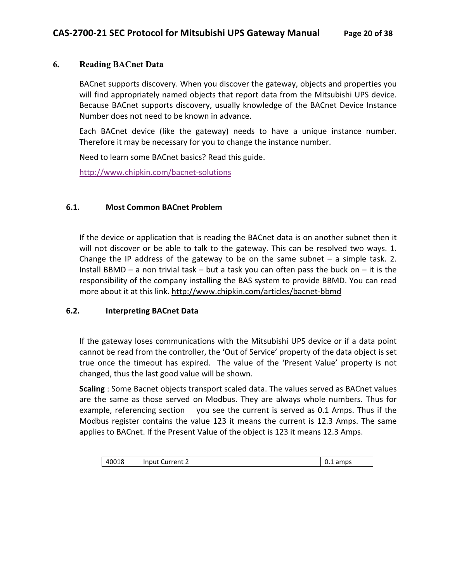#### **6. Reading BACnet Data**

BACnet supports discovery. When you discover the gateway, objects and properties you will find appropriately named objects that report data from the Mitsubishi UPS device. Because BACnet supports discovery, usually knowledge of the BACnet Device Instance Number does not need to be known in advance.

Each BACnet device (like the gateway) needs to have a unique instance number. Therefore it may be necessary for you to change the instance number.

Need to learn some BACnet basics? Read this guide.

http://www.chipkin.com/bacnet-solutions

#### **6.1.** Most Common BACnet Problem

If the device or application that is reading the BACnet data is on another subnet then it will not discover or be able to talk to the gateway. This can be resolved two ways. 1. Change the IP address of the gateway to be on the same subnet  $-$  a simple task. 2. Install BBMD - a non trivial task - but a task you can often pass the buck on - it is the responsibility of the company installing the BAS system to provide BBMD. You can read more about it at this link. http://www.chipkin.com/articles/bacnet-bbmd

## **6.2.** Interpreting BACnet Data

If the gateway loses communications with the Mitsubishi UPS device or if a data point cannot be read from the controller, the 'Out of Service' property of the data object is set true once the timeout has expired. The value of the 'Present Value' property is not changed, thus the last good value will be shown.

Scaling: Some Bacnet objects transport scaled data. The values served as BACnet values are the same as those served on Modbus. They are always whole numbers. Thus for example, referencing section you see the current is served as 0.1 Amps. Thus if the Modbus register contains the value 123 it means the current is 12.3 Amps. The same applies to BACnet. If the Present Value of the object is 123 it means 12.3 Amps.

| 10018<br>amps<br>∵rrent ∠<br>Input<br>cur,<br>HUU LO<br>ັບ.⊥ |
|--------------------------------------------------------------|
|--------------------------------------------------------------|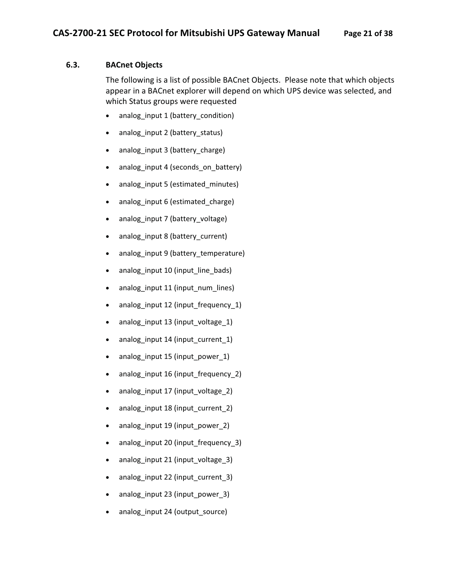### **6.3.** BACnet Objects

The following is a list of possible BACnet Objects. Please note that which objects appear in a BACnet explorer will depend on which UPS device was selected, and which Status groups were requested

- $\bullet$ • analog\_input 1 (battery\_condition)
- $\bullet$ • analog\_input 2 (battery\_status)
- $\bullet$ • analog\_input 3 (battery\_charge)
- $\bullet$ • analog\_input 4 (seconds\_on\_battery)
- $\bullet$ • analog\_input 5 (estimated\_minutes)
- $\bullet$ • analog\_input 6 (estimated\_charge)
- $\bullet$ • analog\_input 7 (battery\_voltage)
- $\bullet$ • analog\_input 8 (battery\_current)
- $\bullet$ • analog\_input 9 (battery\_temperature)
- $\bullet$ • analog\_input 10 (input\_line\_bads)
- $\bullet$ • analog\_input 11 (input\_num\_lines)
- -• analog\_input 12 (input\_frequency\_1)
- $\bullet$ • analog\_input 13 (input\_voltage\_1)
- -• analog\_input 14 (input\_current\_1)
- $\bullet$ • analog\_input 15 (input\_power\_1)
- $\bullet$ • analog\_input 16 (input\_frequency\_2)
- $\bullet$ • analog\_input 17 (input\_voltage\_2)
- $\bullet$ • analog\_input 18 (input\_current\_2)
- $\bullet$ • analog\_input 19 (input\_power\_2)
- $\bullet$ • analog\_input 20 (input\_frequency\_3)
- $\bullet$ • analog\_input 21 (input\_voltage\_3)
- -• analog\_input 22 (input\_current\_3)
- $\bullet$ • analog\_input 23 (input\_power\_3)
- -• analog\_input 24 (output\_source)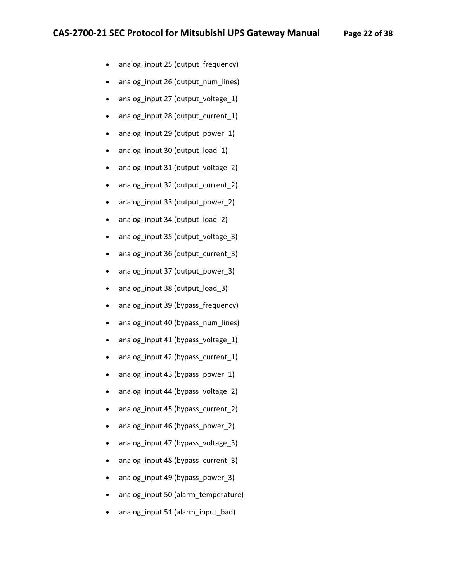- $\bullet$ • analog\_input 25 (output\_frequency)
- $\bullet$ • analog\_input 26 (output\_num\_lines)
- $\bullet$ • analog\_input 27 (output\_voltage\_1)
- -• analog\_input 28 (output\_current\_1)
- $\bullet$ • analog\_input 29 (output\_power\_1)
- -• analog\_input 30 (output\_load\_1)
- $\bullet$ • analog\_input 31 (output\_voltage\_2)
- $\bullet$ • analog\_input 32 (output\_current\_2)
- $\bullet$ • analog\_input 33 (output\_power\_2)
- $\bullet$ • analog\_input 34 (output\_load\_2)
- $\bullet$ • analog\_input 35 (output\_voltage\_3)
- -• analog\_input 36 (output\_current\_3)
- -• analog\_input 37 (output\_power\_3)
- -• analog\_input 38 (output\_load\_3)
- $\bullet$ • analog\_input 39 (bypass\_frequency)
- $\bullet$ • analog\_input 40 (bypass\_num\_lines)
- $\bullet$ • analog\_input 41 (bypass\_voltage\_1)
- $\bullet$ • analog\_input 42 (bypass\_current\_1)
- $\bullet$ • analog\_input 43 (bypass\_power\_1)
- -• analog\_input 44 (bypass\_voltage\_2)
- -• analog\_input 45 (bypass\_current\_2)
- -• analog\_input 46 (bypass\_power\_2)
- $\bullet$ • analog\_input 47 (bypass\_voltage\_3)
- $\bullet$ • analog\_input 48 (bypass\_current\_3)
- $\bullet$ • analog\_input 49 (bypass\_power\_3)
- $\bullet$ • analog\_input 50 (alarm\_temperature)
- -• analog\_input 51 (alarm\_input\_bad)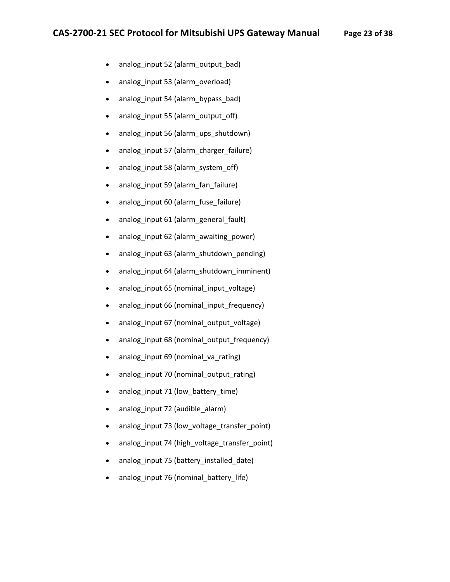- $\bullet$ • analog\_input 52 (alarm\_output\_bad)
- $\bullet$ • analog\_input 53 (alarm\_overload)
- $\bullet$ • analog\_input 54 (alarm\_bypass\_bad)
- -• analog\_input 55 (alarm\_output\_off)
- -• analog\_input 56 (alarm\_ups\_shutdown)
- -• analog\_input 57 (alarm\_charger\_failure)
- $\bullet$ • analog\_input 58 (alarm\_system\_off)
- $\bullet$ • analog\_input 59 (alarm\_fan\_failure)
- $\bullet$ • analog\_input 60 (alarm\_fuse\_failure)
- $\bullet$ • analog\_input 61 (alarm\_general\_fault)
- $\bullet$ • analog\_input 62 (alarm\_awaiting\_power)
- -• analog\_input 63 (alarm\_shutdown\_pending)
- -• analog\_input 64 (alarm\_shutdown\_imminent)
- -• analog\_input 65 (nominal\_input\_voltage)
- $-$ • analog\_input 66 (nominal\_input\_frequency)
- -• analog\_input 67 (nominal\_output\_voltage)
- $\bullet$ • analog\_input 68 (nominal\_output\_frequency)
- $\bullet$ • analog\_input 69 (nominal\_va\_rating)
- $\bullet$ • analog\_input 70 (nominal\_output\_rating)
- -• analog\_input 71 (low\_battery\_time)
- -• analog\_input 72 (audible\_alarm)
- -• analog\_input 73 (low\_voltage\_transfer\_point)
- -• analog\_input 74 (high\_voltage\_transfer\_point)
- -• analog\_input 75 (battery\_installed\_date)
- -• analog\_input 76 (nominal\_battery\_life)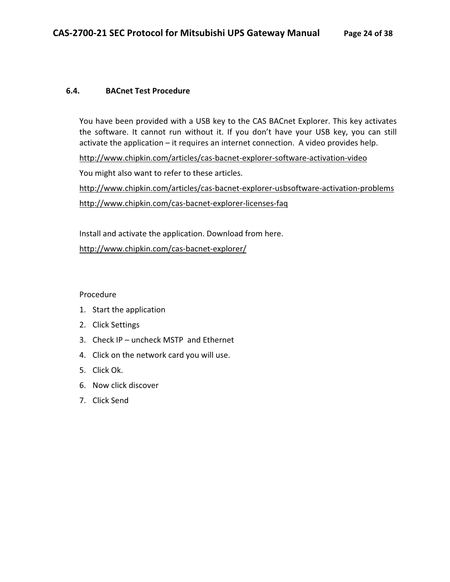### 6.4. **BACnet Test Procedure**

You have been provided with a USB key to the CAS BACnet Explorer. This key activates the software. It cannot run without it. If you don't have your USB key, you can still activate the application – it requires an internet connection. A video provides help.

http://www.chipkin.com/articles/cas-bacnet-explorer-software-activation-video

You might also want to refer to these articles.

http://www.chipkin.com/articles/cas-bacnet-explorer-usbsoftware-activation-problems http://www.chipkin.com/cas-bacnet-explorer-licenses-faq

Install and activate the application. Download from here.

http://www.chipkin.com/cas-bacnet-explorer/

#### Procedure

- 1. Start the application
- 2. Click Settings
- 3. Check IP uncheck MSTP and Ethernet
- 4. Click on the network card you will use.
- 5. Click Ok.
- 6. Now click discover
- 7. Click-Send-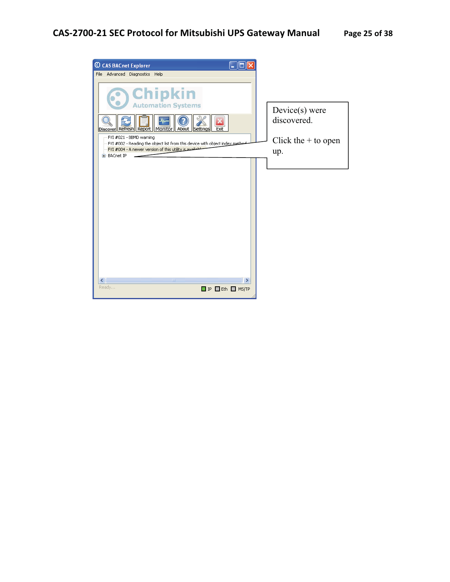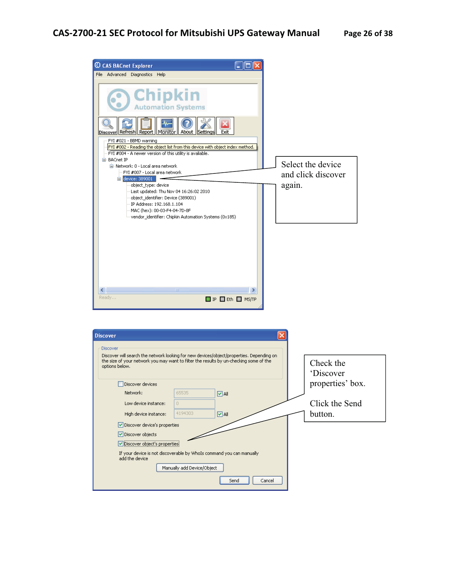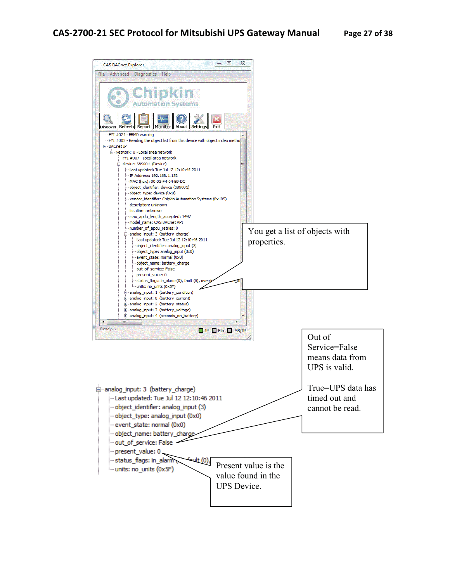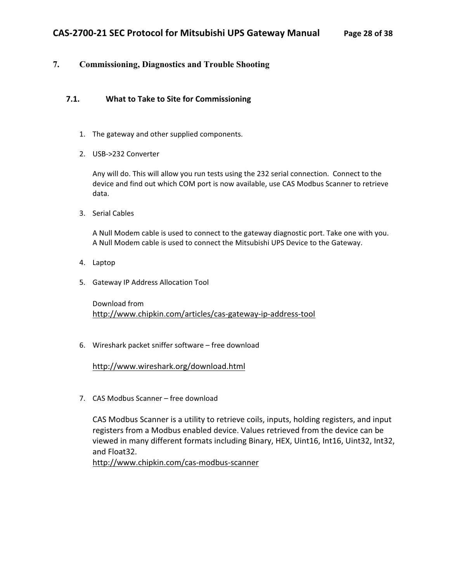# **7. Commissioning, Diagnostics and Trouble Shooting**

# **7.1.** What to Take to Site for Commissioning

- 1. The gateway and other supplied components.
- 2. USB->232 Converter

Any will do. This will allow you run tests using the 232 serial connection. Connect to the device and find out which COM port is now available, use CAS Modbus Scanner to retrieve data.

3. Serial Cables

A Null Modem cable is used to connect to the gateway diagnostic port. Take one with you. A Null Modem cable is used to connect the Mitsubishi UPS Device to the Gateway.

- 4. Laptop-
- 5. Gateway IP Address Allocation Tool

Download from http://www.chipkin.com/articles/cas-gateway-ip-address-tool

6. Wireshark packet sniffer software - free download

http://www.wireshark.org/download.html

7. CAS Modbus Scanner - free download

CAS Modbus Scanner is a utility to retrieve coils, inputs, holding registers, and input registers from a Modbus enabled device. Values retrieved from the device can be viewed in many different formats including Binary, HEX, Uint16, Int16, Uint32, Int32, and Float32.

http://www.chipkin.com/cas-modbus-scanner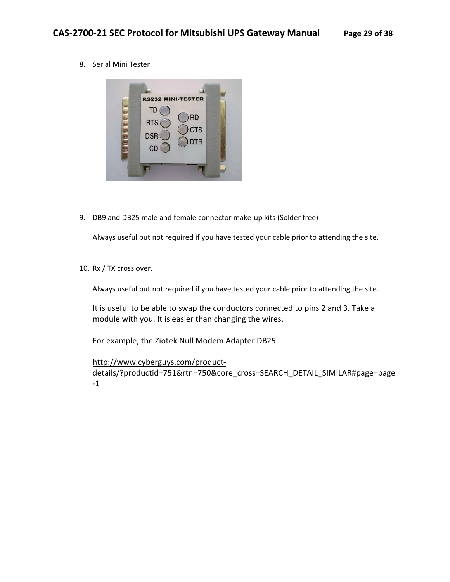8. Serial Mini Tester



9. DB9 and DB25 male and female connector make-up kits (Solder free)

Always useful but not required if you have tested your cable prior to attending the site.

10. Rx / TX cross over.

Always useful but not required if you have tested your cable prior to attending the site.

It is useful to be able to swap the conductors connected to pins 2 and 3. Take a module with you. It is easier than changing the wires.

For example, the Ziotek Null Modem Adapter DB25

http://www.cyberguys.com/product details/?productid=751&rtn=750&core\_cross=SEARCH\_DETAIL\_SIMILAR#page=page  $-1$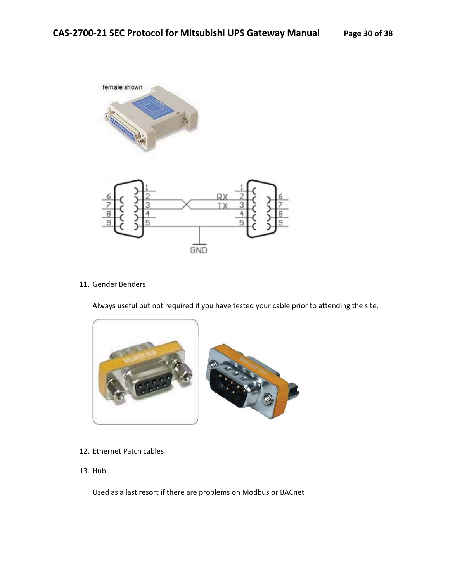

11. Gender Benders

Always useful but not required if you have tested your cable prior to attending the site.



- 12. Ethernet Patch cables
- 13. Hub-

Used as a last resort if there are problems on Modbus or BACnet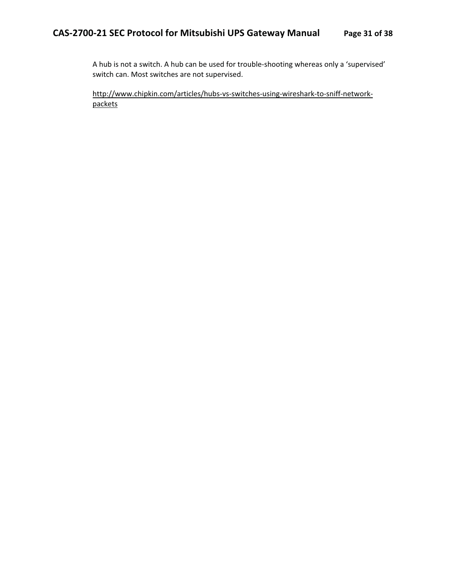A hub is not a switch. A hub can be used for trouble-shooting whereas only a 'supervised' switch can. Most switches are not supervised.

http://www.chipkin.com/articles/hubs-vs-switches-using-wireshark-to-sniff-networkpackets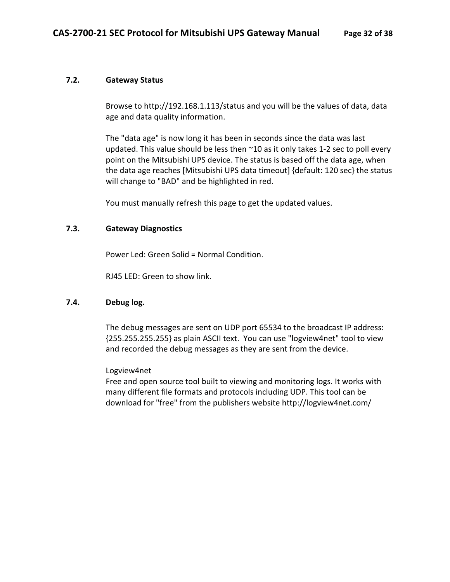#### **7.2.** Gateway Status

Browse to http://192.168.1.113/status and you will be the values of data, data age and data quality information.

The "data age" is now long it has been in seconds since the data was last updated. This value should be less then ~10 as it only takes 1-2 sec to poll every point on the Mitsubishi UPS device. The status is based off the data age, when the data age reaches [Mitsubishi UPS data timeout] {default: 120 sec} the status will change to "BAD" and be highlighted in red.

You must manually refresh this page to get the updated values.

### **7.3.** Gateway Diagnostics

Power Led: Green Solid = Normal Condition.

RJ45 LED: Green to show link.

#### 7.4. Debug log.

The debug messages are sent on UDP port 65534 to the broadcast IP address: {255.255.255.255} as plain ASCII text. You can use "logview4net" tool to view and recorded the debug messages as they are sent from the device.

#### Logview4net

Free and open source tool built to viewing and monitoring logs. It works with many different file formats and protocols including UDP. This tool can be download for "free" from the publishers website http://logview4net.com/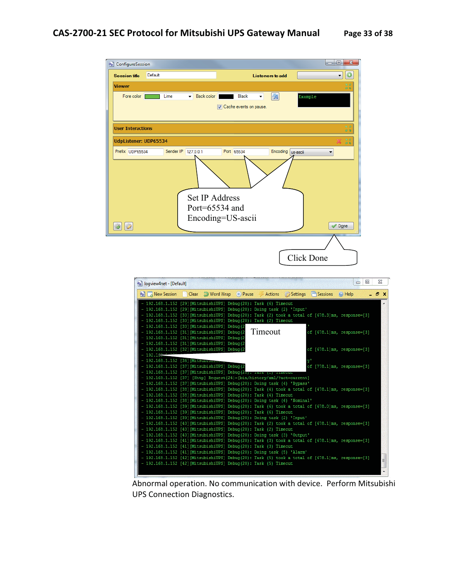

| <b>Now Session Communicate Communication Communication Communication Communication Communication Communication Communication Communication Communication Communication Communication Communication Com</b> |  |         |    |                                  | <b>BX</b> |
|------------------------------------------------------------------------------------------------------------------------------------------------------------------------------------------------------------|--|---------|----|----------------------------------|-----------|
| - 192.168.1.152 [29] [MitsubishiUPS] Debug(20): Task (6) Timeout                                                                                                                                           |  |         |    |                                  |           |
| - 192.168.1.152 [29] [MitsubishiUPS] Debug(20): Doing task (2) 'Input'                                                                                                                                     |  |         |    |                                  |           |
| - 192.168.1.152 [30] [MitsubishiUPS] Debug(20): Task (2) took a total of [678.3]ms, response=[3]                                                                                                           |  |         |    |                                  |           |
| - 192.168.1.152 [30] [MitsubishiUPS] Debug(20): Task (2) Timeout                                                                                                                                           |  |         |    |                                  |           |
| - 192.168.1.152 [30] [MitsubishiUPS] Debug (2)                                                                                                                                                             |  |         |    |                                  |           |
| - 192.168.1.152 [31] [MitsubishiUPS] Debug(2)                                                                                                                                                              |  | Timeout |    | of $[678.1]$ ms, response= $[3]$ |           |
| - 192.168.1.152 [31] [MitsubishiUPS] Debug (2                                                                                                                                                              |  |         |    |                                  |           |
| - 192.168.1.152 [31] [MitsubishiUPS] Debug (2                                                                                                                                                              |  |         |    |                                  |           |
| - 192.168.1.152 [32] [MitsubishiUPS] Debug(2)<br>$-192.169.127$                                                                                                                                            |  |         |    | of $[678.1]$ ms, response= $[3]$ |           |
|                                                                                                                                                                                                            |  |         | νı |                                  |           |
| $-192.168.1.152$ [36] [Mitsuprame]<br>- 192.168.1.152 [37] [MitsubishiUPS] Debug(2)                                                                                                                        |  |         |    | of $[778.1]$ ms, response= $[3]$ |           |
| $-192.168.1.152$ [37] [MitsubishiUPS] Debug(20, , 11,                                                                                                                                                      |  |         |    |                                  |           |
| - 192.168.1.152 [37] [Http] Request{24}=[bin/history/xml/?act=current]                                                                                                                                     |  |         |    |                                  |           |
| - 192.168.1.152 [37] [MitsubishiUPS] Debug(20): Doing task (4) 'Bypass'                                                                                                                                    |  |         |    |                                  |           |
| - 192.168.1.152 [38] [MitsubishiUPS] Debug(20): Task (4) took a total of [478.1]ms, response=[3]                                                                                                           |  |         |    |                                  |           |
| - 192.168.1.152 [38] [MitsubishiUPS] Debug(20): Task (4) Timeout                                                                                                                                           |  |         |    |                                  |           |
| - 192.168.1.152 [38] [MitsubishiUPS] Debug(20): Doing task (6) 'Nominal'                                                                                                                                   |  |         |    |                                  |           |
| - 192.168.1.152 [39] [MitsubishiUPS] Debug(20): Task (6) took a total of [678.0]ms, response=[3]                                                                                                           |  |         |    |                                  |           |
| - 192.168.1.152 [39] [MitsubishiUPS] Debug(20): Task (6) Timeout                                                                                                                                           |  |         |    |                                  |           |
| - 192.168.1.152 [39] [MitsubishiUPS] Debug(20): Doing task (2) 'Input'                                                                                                                                     |  |         |    |                                  |           |
| - 192.168.1.152 [40] [MitsubishiUPS] Debug(20): Task (2) took a total of [678.1]ms, response=[3]                                                                                                           |  |         |    |                                  |           |
| - 192.168.1.152 [40] [MitsubishiUPS] Debug(20): Task (2) Timeout                                                                                                                                           |  |         |    |                                  |           |
| - 192.168.1.152 [40] [MitsubishiUPS] Debug(20): Doing task (3) 'Output'                                                                                                                                    |  |         |    |                                  |           |
| - 192.168.1.152 [41] [MitsubishiUPS] Debug(20): Task (3) took a total of [678.1]ms, response=[3]                                                                                                           |  |         |    |                                  |           |
| - 192.168.1.152 [41] [MitsubishiUPS] Debug(20): Task (3) Timeout                                                                                                                                           |  |         |    |                                  |           |
| - 192.168.1.152 [41] [MitsubishiUPS] Debug(20): Doing task (5) 'Alarm'                                                                                                                                     |  |         |    |                                  |           |
| - 192.168.1.152 [42] [MitsubishiUPS] Debug(20): Task (5) took a total of [678.1]ms, response=[3]                                                                                                           |  |         |    |                                  |           |
| - 192.168.1.152 [42] [MitsubishiUPS] Debug(20): Task (5) Timeout                                                                                                                                           |  |         |    |                                  |           |

Abnormal operation. No communication with device. Perform Mitsubishi UPS Connection Diagnostics.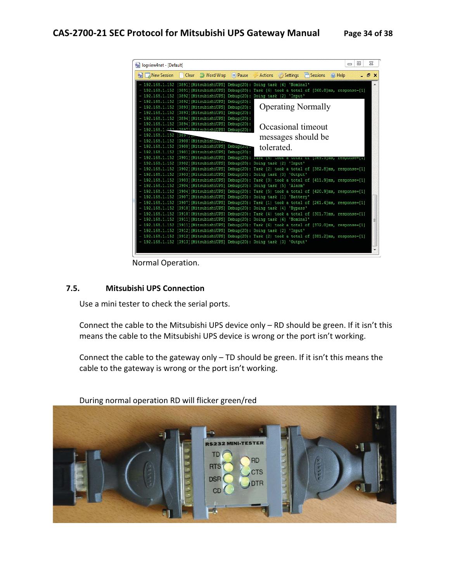| Rel loqview4net - [Default] |                                                    | $\Box$<br>$\overline{a}$                                                                                                                                                        | χ |
|-----------------------------|----------------------------------------------------|---------------------------------------------------------------------------------------------------------------------------------------------------------------------------------|---|
| <b>Real A</b> New Session   |                                                    | <b>Clear</b> D Word Wrap 10 Pause & Actions & Settings T Sessions (2) Help<br>- 8 x                                                                                             |   |
|                             |                                                    | - 192.168.1.152 [3891] [MitsubishiUPS] Debug(20): Doing task (6) 'Nominal'                                                                                                      |   |
|                             |                                                    | - 192.168.1.152 [3891] [MitsubishiUPS] Debug(20): Task (6) took a total of [368.8]ms, response=[1]                                                                              |   |
|                             |                                                    | - 192.168.1.152 [3892] [MitsubishiUPS] Debug (20): Doing task (2) 'Input'                                                                                                       |   |
|                             | - 192.168.1.152 [3892] [MitsubishiUPS] Debug(20):  |                                                                                                                                                                                 |   |
|                             | - 192.168.1.152 [3893] [MitsubishiUPS] Debug(20):  | <b>Operating Normally</b>                                                                                                                                                       |   |
|                             | - 192.168.1.152 [3893] [MitsubishiUPS] Debug(20):  |                                                                                                                                                                                 |   |
|                             | - 192.168.1.152 [3894] [MitsubishiUPS] Debug (20): |                                                                                                                                                                                 |   |
|                             | - 192.168.1.152 [3894] [MitsubishiUPS] Debug(20):  | Occasional timeout                                                                                                                                                              |   |
|                             | - 192.168.1.152 [3897][MitsubishiUPS] Debug(20):   |                                                                                                                                                                                 |   |
| $-192.168.1.152$ [3897]     |                                                    | messages should be                                                                                                                                                              |   |
|                             | - 192.168.1.152 [3900] [Mitsubishiur.              |                                                                                                                                                                                 |   |
|                             | - 192.168.1.152 [3900] [MitsubishiUPS] Debug(20).  | tolerated.                                                                                                                                                                      |   |
|                             | - 192.168.1.152 [3901] [MitsubishiUPS] Debug(20):  |                                                                                                                                                                                 |   |
|                             |                                                    | - 192.168.1.152 [3901] [MitsubishiUPS] Debug(20): Idsx (0) toox d total of joes.ojms, response=[1]                                                                              |   |
|                             |                                                    | - 192.168.1.152 [3902] [MitsubishiUPS] Debug(20): Doing task (2) 'Input'                                                                                                        |   |
|                             |                                                    | - 192.168.1.152 [3902] [MitsubishiUPS] Debug(20): Task (2) took a total of [382.8]ms, response=[1]                                                                              |   |
|                             |                                                    | - 192.168.1.152 [3903] [MitsubishiUPS] Debug(20): Doing task (3) 'Output'                                                                                                       |   |
|                             |                                                    | - 192.168.1.152 [3903] [MitsubishiUPS] Debug(20): Task (3) took a total of [411.9]ms, response=[1]                                                                              |   |
|                             |                                                    | - 192.168.1.152 [3904] [MitsubishiUPS] Debug(20): Doing task (5) 'Alarm'                                                                                                        |   |
|                             |                                                    | - 192.168.1.152 [3904] [MitsubishiUPS] Debug(20): Task (5) took a total of [420.9]ms, response=[1]                                                                              |   |
|                             |                                                    | - 192.168.1.152 [3907] [MitsubishiUPS] Debug(20): Doing task (1) 'Battery'                                                                                                      |   |
|                             |                                                    | - 192.168.1.152 [3907] [MitsubishiUPS] Debug(20): Task (1) took a total of [261.4]ms, response=[1]                                                                              |   |
|                             |                                                    | - 192.168.1.152 [3910] [MitsubishiUPS] Debug(20): Doing task (4) 'Bypass'                                                                                                       |   |
|                             |                                                    | $-192.168.1.152$ [3910] [MitsubishiUPS] Debug(20): Task (4) took a total of [301.7]ms, response=[1]                                                                             |   |
|                             |                                                    | - 192.168.1.152 [3911] [MitsubishiUPS] Debug(20): Doing task (6) 'Nominal'                                                                                                      |   |
|                             |                                                    | $-192.168.1.152$ [3911] [MitsubishiUPS] Debug(20): Task (6) took a total of [372.0]ms, response=[1]                                                                             |   |
|                             |                                                    | - 192.168.1.152 [3912] [MitsubishiUPS] Debug(20): Doing task (2) 'Input'                                                                                                        |   |
|                             |                                                    | - 192.168.1.152 [3912] [MitsubishiUPS] Debug(20): Task (2) took a total of [381.2]ms, response=[1]<br>- 192.168.1.152 [3913] [MitsubishiUPS] Debug(20): Doing task (3) 'Output' |   |
|                             |                                                    |                                                                                                                                                                                 |   |
|                             |                                                    |                                                                                                                                                                                 |   |

Normal Operation.

#### **7.5.** Mitsubishi UPS Connection

Use a mini tester to check the serial ports.

Connect the cable to the Mitsubishi UPS device only - RD should be green. If it isn't this means the cable to the Mitsubishi UPS device is wrong or the port isn't working.

Connect the cable to the gateway only  $-$  TD should be green. If it isn't this means the cable to the gateway is wrong or the port isn't working.



During normal operation RD will flicker green/red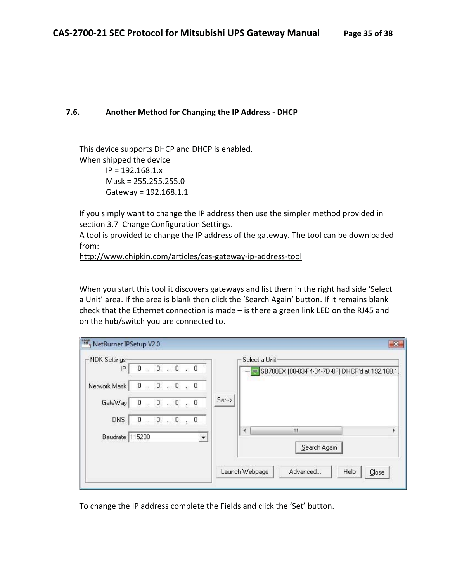### **7.6.** Another Method for Changing the IP Address - DHCP

This device supports DHCP and DHCP is enabled. When shipped the device  $IP = 192.168.1.x$ Mask = 255.255.255.0 Gateway = 192.168.1.1

If you simply want to change the IP address then use the simpler method provided in section 3.7 Change Configuration Settings.

A tool is provided to change the IP address of the gateway. The tool can be downloaded from:

http://www.chipkin.com/articles/cas-gateway-ip-address-tool

When you start this tool it discovers gateways and list them in the right had side 'Select a Unit' area. If the area is blank then click the 'Search Again' button. If it remains blank check that the Ethernet connection is made - is there a green link LED on the RJ45 and on the hub/switch you are connected to.

| $0$ , $0$ , $0$ , $0$<br>Network Mask<br>$Set -$<br>GateWay<br>0<br>$\ddot{\phantom{0}}$ .<br>$\sim$ 0<br>$\sim 0$<br><b>DNS</b><br>$0$ , $0$ , $0$ , $0$<br>m<br>∢<br>Baudrate 115200<br>$\overline{\phantom{a}}$ | <b>NDK Settings</b><br>IP. | 0 | $504 -$ | 0.0.00 |  |  | Select a Unit<br> |  | E SB700EX [00-03-F4-04-7D-8F] DHCP'd at 192.168.1. |  |
|--------------------------------------------------------------------------------------------------------------------------------------------------------------------------------------------------------------------|----------------------------|---|---------|--------|--|--|-------------------|--|----------------------------------------------------|--|
|                                                                                                                                                                                                                    |                            |   |         |        |  |  |                   |  |                                                    |  |
|                                                                                                                                                                                                                    |                            |   |         |        |  |  |                   |  |                                                    |  |
|                                                                                                                                                                                                                    |                            |   |         |        |  |  |                   |  |                                                    |  |
| Search Again                                                                                                                                                                                                       |                            |   |         |        |  |  |                   |  |                                                    |  |

To change the IP address complete the Fields and click the 'Set' button.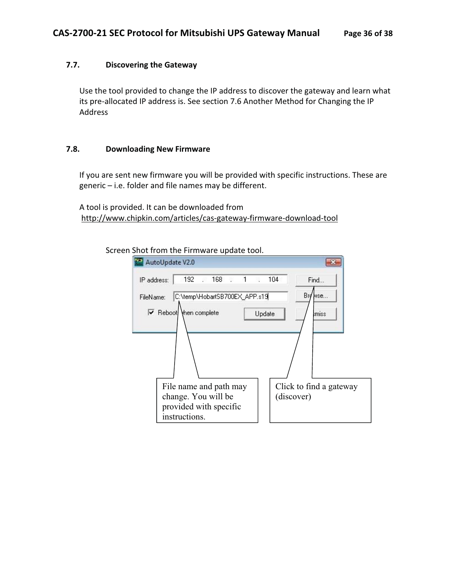### **7.7.** Discovering the Gateway

Use the tool provided to change the IP address to discover the gateway and learn what its pre-allocated IP address is. See section 7.6 Another Method for Changing the IP **Address** 

#### **7.8.** Downloading New Firmware

If you are sent new firmware you will be provided with specific instructions. These are generic - i.e. folder and file names may be different.

A tool is provided. It can be downloaded from http://www.chipkin.com/articles/cas-gateway-firmware-download-tool

| $3100$ . The first contribution of the second contribution of $300$ . The second contribution of $300$ and $300$ and $300$ and $300$ and $300$ and $300$ and $300$ and $300$ and $300$ and $300$ and $300$ and $300$ and $300$<br>AutoUpdate V2.0 |                                                                         |   |        |            |                         |  |
|---------------------------------------------------------------------------------------------------------------------------------------------------------------------------------------------------------------------------------------------------|-------------------------------------------------------------------------|---|--------|------------|-------------------------|--|
| IP address:                                                                                                                                                                                                                                       | 192<br>168<br>S.                                                        | ÷ |        | 104        | Find                    |  |
| FileName:                                                                                                                                                                                                                                         | C:\temp\HobartSB700EX_APP.s19                                           |   |        |            | Bry wse                 |  |
| $\triangledown$ Reboot \then complete                                                                                                                                                                                                             |                                                                         |   | Update |            | smiss                   |  |
| instructions.                                                                                                                                                                                                                                     | File name and path may<br>change. You will be<br>provided with specific |   |        | (discover) | Click to find a gateway |  |

Screen Shot from the Firmware update tool.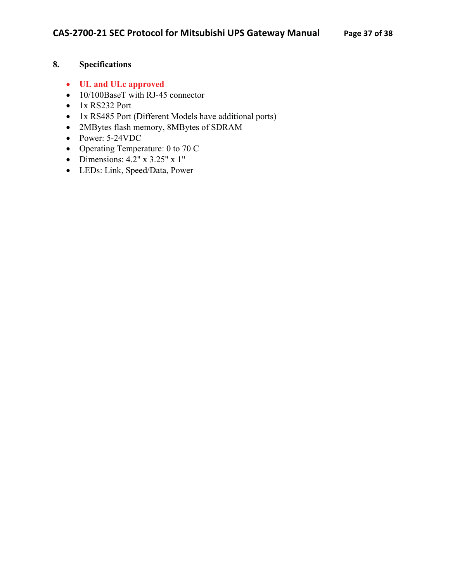# **8. Specifications**

- **UL and ULc approved**
- 10/100BaseT with RJ-45 connector
- 1x RS232 Port
- 1x RS485 Port (Different Models have additional ports)
- 2MBytes flash memory, 8MBytes of SDRAM
- Power: 5-24VDC
- Operating Temperature: 0 to 70 C
- Dimensions:  $4.2$ " x  $3.25$ " x  $1$ "
- LEDs: Link, Speed/Data, Power